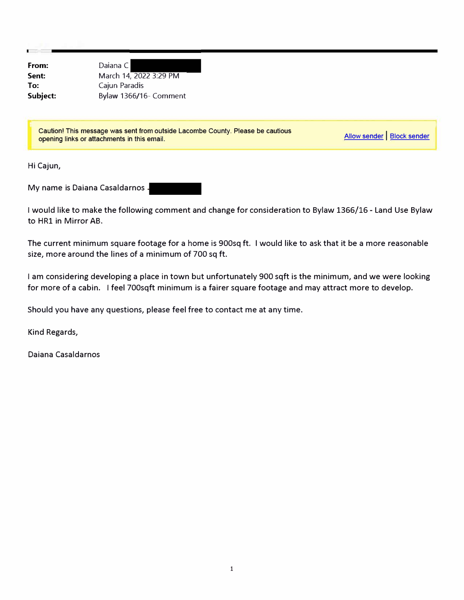**From: Sent: To: Subject:** 

Daiana C March 14, 2022 3:29 PM Cajun Paradis Bylaw 1366/16- Comment

Caution! This message was sent from outside Lacombe County. Please be cautious opening links or attachments in this email.

Allow sender | Block sender

Hi Cajun,

My name is Daiana Casaldarnos

I would like to make the following comment and change for consideration to Bylaw 1366/16 - Land Use Bylaw to HRl in Mirror AB.

The current minimum square footage for a home is 900sq ft. I would like to ask that it be a more reasonable size, more around the lines of a minimum of 700 sq ft.

I am considering developing a place in town but unfortunately 900 sqft is the minimum, and we were looking for more of a cabin. I feel 700sqft minimum is a fairer square footage and may attract more to develop.

Should you have any questions, please feel free to contact me at any time.

Kind Regards,

Daiana Casaldarnos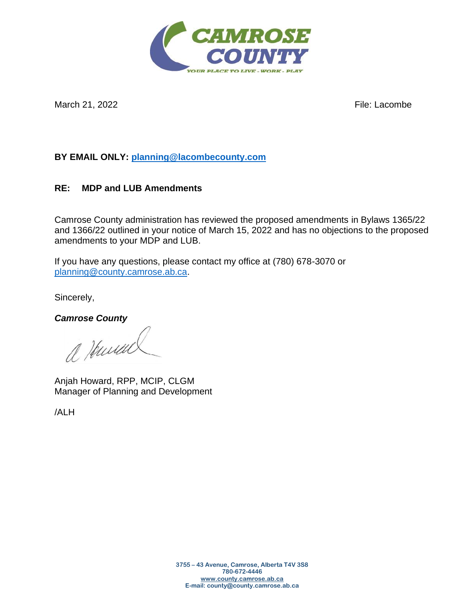

March 21, 2022 **File:** Lacombe

## **BY EMAIL ONLY: [planning@lacombecounty.com](mailto:planning@lacombecounty.com)**

## **RE: MDP and LUB Amendments**

Camrose County administration has reviewed the proposed amendments in Bylaws 1365/22 and 1366/22 outlined in your notice of March 15, 2022 and has no objections to the proposed amendments to your MDP and LUB.

If you have any questions, please contact my office at (780) 678-3070 or [planning@county.camrose.ab.ca.](mailto:planning@county.camrose.ab.ca)

Sincerely,

*Camrose County*

a Humal

Anjah Howard, RPP, MCIP, CLGM Manager of Planning and Development

/ALH